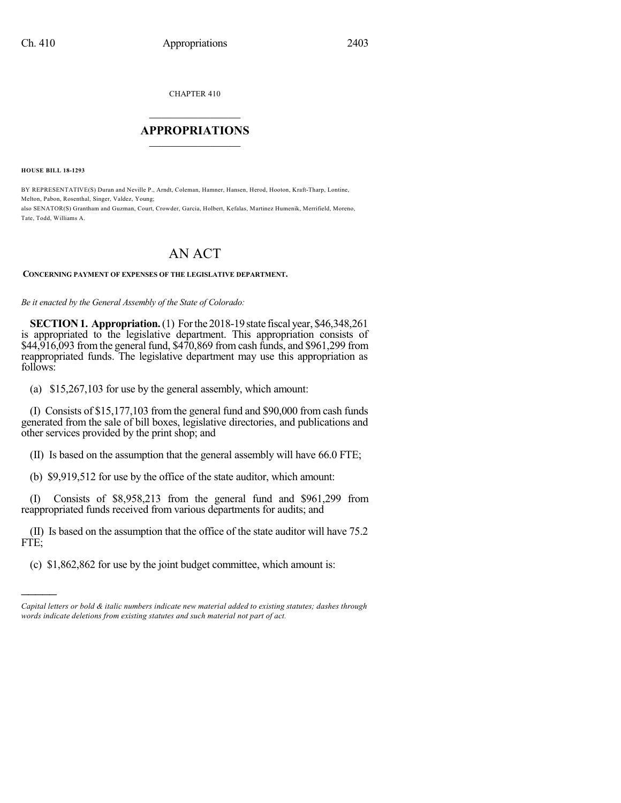CHAPTER 410

## $\overline{\phantom{a}}$  . The set of the set of the set of the set of the set of the set of the set of the set of the set of the set of the set of the set of the set of the set of the set of the set of the set of the set of the set o **APPROPRIATIONS**  $\_$   $\_$   $\_$   $\_$   $\_$   $\_$   $\_$   $\_$

**HOUSE BILL 18-1293**

)))))

BY REPRESENTATIVE(S) Duran and Neville P., Arndt, Coleman, Hamner, Hansen, Herod, Hooton, Kraft-Tharp, Lontine, Melton, Pabon, Rosenthal, Singer, Valdez, Young; also SENATOR(S) Grantham and Guzman, Court, Crowder, Garcia, Holbert, Kefalas, Martinez Humenik, Merrifield, Moreno, Tate, Todd, Williams A.

## AN ACT

## **CONCERNING PAYMENT OF EXPENSES OF THE LEGISLATIVE DEPARTMENT.**

*Be it enacted by the General Assembly of the State of Colorado:*

**SECTION1. Appropriation.**(1) Forthe 2018-19 state fiscal year, \$46,348,261 is appropriated to the legislative department. This appropriation consists of \$44,916,093 fromthe general fund, \$470,869 from cash funds, and \$961,299 from reappropriated funds. The legislative department may use this appropriation as follows:

(a) \$15,267,103 for use by the general assembly, which amount:

(I) Consists of \$15,177,103 from the general fund and \$90,000 from cash funds generated from the sale of bill boxes, legislative directories, and publications and other services provided by the print shop; and

(II) Is based on the assumption that the general assembly will have 66.0 FTE;

(b) \$9,919,512 for use by the office of the state auditor, which amount:

(I) Consists of \$8,958,213 from the general fund and \$961,299 from reappropriated funds received from various departments for audits; and

(II) Is based on the assumption that the office of the state auditor will have 75.2 FTE;

(c) \$1,862,862 for use by the joint budget committee, which amount is:

*Capital letters or bold & italic numbers indicate new material added to existing statutes; dashes through words indicate deletions from existing statutes and such material not part of act.*